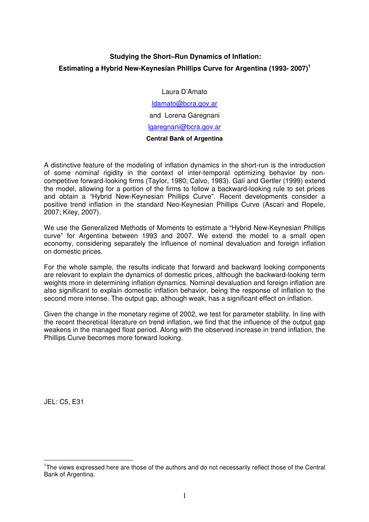# **Studying the Short–Run Dynamics of Inflation: Estimating a Hybrid New-Keynesian Phillips Curve for Argentina (1993- 2007)<sup>1</sup>**

Laura D'Amato

ldamato@bcra.gov.ar and Lorena Garegnani lgaregnani@bcra.gov.ar **Central Bank of Argentina** 

A distinctive feature of the modeling of inflation dynamics in the short-run is the introduction of some nominal rigidity in the context of inter-temporal optimizing behavior by noncompetitive forward-looking firms (Taylor, 1980; Calvo, 1983). Galí and Gertler (1999) extend the model, allowing for a portion of the firms to follow a backward-looking rule to set prices and obtain a "Hybrid New-Keynesian Phillips Curve". Recent developments consider a positive trend inflation in the standard Neo-Keynesian Phillips Curve (Ascari and Ropele, 2007; Kiley, 2007).

We use the Generalized Methods of Moments to estimate a "Hybrid New-Keynesian Phillips curve" for Argentina between 1993 and 2007. We extend the model to a small open economy, considering separately the influence of nominal devaluation and foreign inflation on domestic prices.

For the whole sample, the results indicate that forward and backward looking components are relevant to explain the dynamics of domestic prices, although the backward-looking term weights more in determining inflation dynamics. Nominal devaluation and foreign inflation are also significant to explain domestic inflation behavior, being the response of inflation to the second more intense. The output gap, although weak, has a significant effect on inflation.

Given the change in the monetary regime of 2002, we test for parameter stability. In line with the recent theoretical literature on trend inflation, we find that the influence of the output gap weakens in the managed float period. Along with the observed increase in trend inflation, the Phillips Curve becomes more forward looking.

JEL: C5, E31

 $\overline{a}$ <sup>1</sup>The views expressed here are those of the authors and do not necessarily reflect those of the Central Bank of Argentina.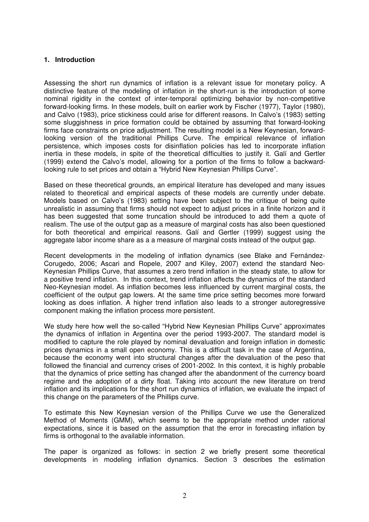#### **1. Introduction**

Assessing the short run dynamics of inflation is a relevant issue for monetary policy. A distinctive feature of the modeling of inflation in the short-run is the introduction of some nominal rigidity in the context of inter-temporal optimizing behavior by non-competitive forward-looking firms. In these models, built on earlier work by Fischer (1977), Taylor (1980), and Calvo (1983), price stickiness could arise for different reasons. In Calvo's (1983) setting some sluggishness in price formation could be obtained by assuming that forward-looking firms face constraints on price adjustment. The resulting model is a New Keynesian, forwardlooking version of the traditional Phillips Curve. The empirical relevance of inflation persistence, which imposes costs for disinflation policies has led to incorporate inflation inertia in these models, in spite of the theoretical difficulties to justify it. Galí and Gertler (1999) extend the Calvo's model, allowing for a portion of the firms to follow a backwardlooking rule to set prices and obtain a "Hybrid New Keynesian Phillips Curve".

Based on these theoretical grounds, an empirical literature has developed and many issues related to theoretical and empirical aspects of these models are currently under debate. Models based on Calvo's (1983) setting have been subject to the critique of being quite unrealistic in assuming that firms should not expect to adjust prices in a finite horizon and it has been suggested that some truncation should be introduced to add them a quote of realism. The use of the output gap as a measure of marginal costs has also been questioned for both theoretical and empirical reasons. Galí and Gertler (1999) suggest using the aggregate labor income share as a a measure of marginal costs instead of the output gap.

Recent developments in the modeling of inflation dynamics (see Blake and Fernández-Corugedo, 2006; Ascari and Ropele, 2007 and Kiley, 2007) extend the standard Neo-Keynesian Phillips Curve, that assumes a zero trend inflation in the steady state, to allow for a positive trend inflation. In this context, trend inflation affects the dynamics of the standard Neo-Keynesian model. As inflation becomes less influenced by current marginal costs, the coefficient of the output gap lowers. At the same time price setting becomes more forward looking as does inflation. A higher trend inflation also leads to a stronger autoregressive component making the inflation process more persistent.

We study here how well the so-called "Hybrid New Keynesian Phillips Curve" approximates the dynamics of inflation in Argentina over the period 1993-2007. The standard model is modified to capture the role played by nominal devaluation and foreign inflation in domestic prices dynamics in a small open economy. This is a difficult task in the case of Argentina, because the economy went into structural changes after the devaluation of the peso that followed the financial and currency crises of 2001-2002. In this context, it is highly probable that the dynamics of price setting has changed after the abandonment of the currency board regime and the adoption of a dirty float. Taking into account the new literature on trend inflation and its implications for the short run dynamics of inflation, we evaluate the impact of this change on the parameters of the Phillips curve.

To estimate this New Keynesian version of the Phillips Curve we use the Generalized Method of Moments (GMM), which seems to be the appropriate method under rational expectations, since it is based on the assumption that the error in forecasting inflation by firms is orthogonal to the available information.

The paper is organized as follows: in section 2 we briefly present some theoretical developments in modeling inflation dynamics. Section 3 describes the estimation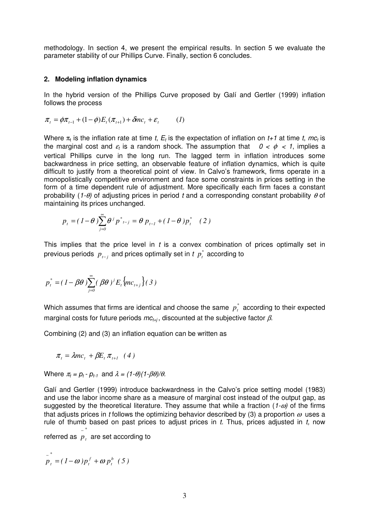methodology. In section 4, we present the empirical results. In section 5 we evaluate the parameter stability of our Phillips Curve. Finally, section 6 concludes.

#### **2. Modeling inflation dynamics**

In the hybrid version of the Phillips Curve proposed by Galí and Gertler (1999) inflation follows the process

$$
\pi_t = \phi \pi_{t-1} + (1 - \phi) E_t(\pi_{t+1}) + \delta m c_t + \varepsilon_t \qquad (1)
$$

Where  $\pi_t$  is the inflation rate at time t,  $E_t$  is the expectation of inflation on t+1 at time t, mc<sub>t</sub> is the marginal cost and  $\varepsilon_t$  is a random shock. The assumption that  $0 < \phi < 1$ , implies a vertical Phillips curve in the long run. The lagged term in inflation introduces some backwardness in price setting, an observable feature of inflation dynamics, which is quite difficult to justify from a theoretical point of view. In Calvo's framework, firms operate in a monopolistically competitive environment and face some constraints in prices setting in the form of a time dependent rule of adjustment. More specifically each firm faces a constant probability (1- $\theta$ ) of adjusting prices in period t and a corresponding constant probability  $\theta$  of maintaining its prices unchanged.

$$
p_{t} = (1 - \theta) \sum_{j=0}^{\infty} \theta^{j} p^{*}_{t-j} = \theta p_{t-1} + (1 - \theta) p_{t}^{*} \quad (2)
$$

This implies that the price level in  $t$  is a convex combination of prices optimally set in previous periods  $p_{t-j}^{}$  and prices optimally set in  $t$   $p_{t}^*$  according to

$$
p_t^* = (1 - \beta \theta) \sum_{j=0}^{\infty} (\beta \theta)^j E_t \{ mc_{t+j} \} (3)
$$

Which assumes that firms are identical and choose the same  $p_t^*$  according to their expected marginal costs for future periods  $mc_{t+i}$ , discounted at the subjective factor  $\beta$ .

Combining (2) and (3) an inflation equation can be written as

$$
\pi_t = \lambda mc_t + \beta E_t \pi_{t+1} \quad (4)
$$

Where  $\pi_t = p_t \cdot p_{t-1}$  and  $\lambda = (1-\theta)(1-\beta\theta)/\theta$ .

Galí and Gertler (1999) introduce backwardness in the Calvo's price setting model (1983) and use the labor income share as a measure of marginal cost instead of the output gap, as suggested by the theoretical literature. They assume that while a fraction (1- $\omega$ ) of the firms that adjusts prices in t follows the optimizing behavior described by (3) a proportion  $\omega$  uses a rule of thumb based on past prices to adjust prices in  $t$ . Thus, prices adjusted in  $t$ , now *\**

 $\frac{1}{p}$  are set according to

$$
\overline{p}_t^* = (1-\omega)p_t^f + \omega p_t^b \hspace{0.2cm} (5)
$$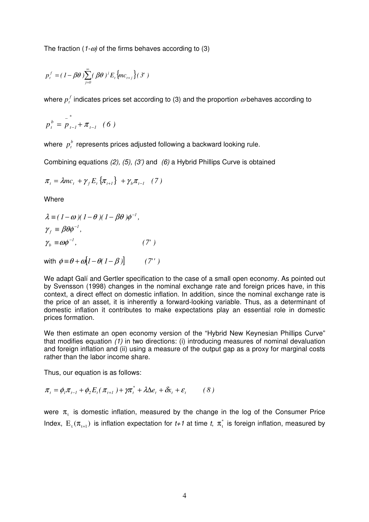The fraction (1- $\omega$ ) of the firms behaves according to (3)

$$
p_t^f = (1 - \beta \theta) \sum_{j=0}^{\infty} (\beta \theta)^j E_t \{ mc_{t+j} \} (\beta')
$$

where  $p_{t}^{f}$  indicates prices set according to (3) and the proportion  $\boldsymbol{\omega}$  behaves according to

$$
p_t^b = \overline{p}_{t-l}^* + \pi_{t-l} \quad (6)
$$

where *<sup>b</sup> pt* represents prices adjusted following a backward looking rule.

Combining equations (2), (5), (3') and (6) a Hybrid Phillips Curve is obtained

$$
\pi_{t} = \lambda mc_{t} + \gamma_{f} E_{t} \{\pi_{t+1}\} + \gamma_{b} \pi_{t-1} \quad (7)
$$

Where

$$
\lambda \equiv (1 - \omega)(1 - \theta)(1 - \beta \theta)\phi^{-1},
$$
  
\n
$$
\gamma_f \equiv \beta \theta \phi^{-1},
$$
  
\n
$$
\gamma_b \equiv \omega \phi^{-1},
$$
\n(7')

with  $\phi = \theta + \omega [1 - \theta (1 - \beta)]$  (7')

We adapt Galí and Gertler specification to the case of a small open economy. As pointed out by Svensson (1998) changes in the nominal exchange rate and foreign prices have, in this context, a direct effect on domestic inflation. In addition, since the nominal exchange rate is the price of an asset, it is inherently a forward-looking variable. Thus, as a determinant of domestic inflation it contributes to make expectations play an essential role in domestic prices formation.

We then estimate an open economy version of the "Hybrid New Keynesian Phillips Curve" that modifies equation (1) in two directions: (i) introducing measures of nominal devaluation and foreign inflation and (ii) using a measure of the output gap as a proxy for marginal costs rather than the labor income share.

Thus, our equation is as follows:

$$
\pi_t = \phi_l \pi_{t-l} + \phi_2 E_t(\pi_{t+l}) + \gamma \pi_t^* + \lambda \Delta e_t + \delta x_t + \varepsilon_t \qquad (8)
$$

were  $\pi_{t}$  is domestic inflation, measured by the change in the log of the Consumer Price Index,  $E_t(\pi_{t+1})$  is inflation expectation for  $t+1$  at time  $t$ ,  $\pi_t^*$  is foreign inflation, measured by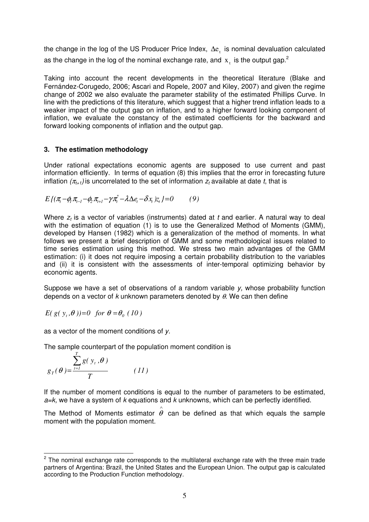the change in the log of the US Producer Price Index,  $\Delta e_t$  is nominal devaluation calculated as the change in the log of the nominal exchange rate, and  $x<sub>1</sub>$  is the output gap.<sup>2</sup>

Taking into account the recent developments in the theoretical literature (Blake and Fernández-Corugedo, 2006; Ascari and Ropele, 2007 and Kiley, 2007) and given the regime change of 2002 we also evaluate the parameter stability of the estimated Phillips Curve. In line with the predictions of this literature, which suggest that a higher trend inflation leads to a weaker impact of the output gap on inflation, and to a higher forward looking component of inflation, we evaluate the constancy of the estimated coefficients for the backward and forward looking components of inflation and the output gap.

# **3. The estimation methodology**

Under rational expectations economic agents are supposed to use current and past information efficiently. In terms of equation (8) this implies that the error in forecasting future inflation  $(\pi_{t+1})$  is uncorrelated to the set of information  $z_t$  available at date t, that is

$$
E\{(\pi_{t} - \phi_{1}\pi_{t-1} - \phi_{2}\pi_{t+1} - \gamma\pi_{t}^{*} - \lambda\Delta e_{t} - \delta x_{t})z_{t}\} = 0 \qquad (9)
$$

Where  $z_t$  is a vector of variables (instruments) dated at t and earlier. A natural way to deal with the estimation of equation (1) is to use the Generalized Method of Moments (GMM), developed by Hansen (1982) which is a generalization of the method of moments. In what follows we present a brief description of GMM and some methodological issues related to time series estimation using this method. We stress two main advantages of the GMM estimation: (i) it does not require imposing a certain probability distribution to the variables and (ii) it is consistent with the assessments of inter-temporal optimizing behavior by economic agents.

Suppose we have a set of observations of a random variable  $y$ , whose probability function depends on a vector of k unknown parameters denoted by  $\theta$ . We can then define

$$
E(g(y_t, \theta))=0 \text{ for } \theta = \theta_0 (10)
$$

as a vector of the moment conditions of y.

The sample counterpart of the population moment condition is

$$
g_T(\theta) = \frac{\sum_{t=1}^T g(y_t, \theta)}{T}
$$
 (11)

If the number of moment conditions is equal to the number of parameters to be estimated,  $a=k$ , we have a system of k equations and k unknowns, which can be perfectly identified.

The Method of Moments estimator  $\overset{\circ}{\theta}$  can be defined as that which equals the sample moment with the population moment.

**EXECUTE:**<br><sup>2</sup> The nominal exchange rate corresponds to the multilateral exchange rate with the three main trade partners of Argentina: Brazil, the United States and the European Union. The output gap is calculated according to the Production Function methodology.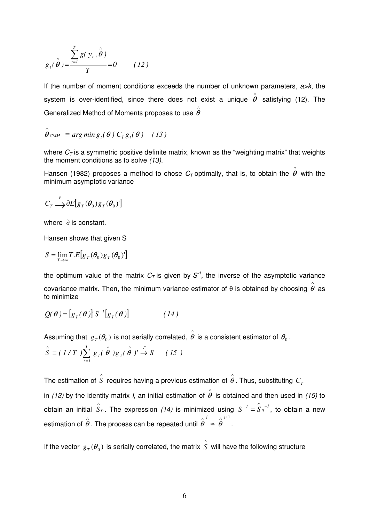$$
g_{t}(\hat{\theta}) = \frac{\sum_{t=1}^{T} g(y_{t}, \hat{\theta})}{T} = 0 \qquad (12)
$$

If the number of moment conditions exceeds the number of unknown parameters,  $a\rightarrow k$ , the system is over-identified, since there does not exist a unique  $\overset{\wedge}{\theta}$  satisfying (12). The Generalized Method of Moments proposes to use  $\hat{\overset{\circ}{\theta}}$ 

$$
\hat{\theta}_{GMM} \equiv \arg\min g_{t}(\theta) C_{T}g_{t}(\theta) \quad (13)
$$

where  $C_T$  is a symmetric positive definite matrix, known as the "weighting matrix" that weights the moment conditions as to solve (13).

Hansen (1982) proposes a method to chose  $C_\mathcal{T}$  optimally, that is, to obtain the  $\overset{\circ}{\theta}$  with the minimum asymptotic variance

$$
C_T \overset{p}{\longrightarrow} \partial E \big[ g_T(\theta_0) g_T(\theta_0)^{t} \big]
$$

where ∂ is constant.

Hansen shows that given S

$$
S = \lim_{T \to \infty} T.E[g_T(\theta_0)g_T(\theta_0)]
$$

the optimum value of the matrix  $C_{\mathcal{T}}$  is given by  $\mathcal{S}^{\mathcal{T}}$ , the inverse of the asymptotic variance covariance matrix. Then, the minimum variance estimator of θ is obtained by choosing  $\hat{\theta}$  as to minimize

$$
Q(\theta) = [g_T(\theta)]S^{-1}[g_T(\theta)] \qquad (14)
$$

Assuming that  $\,g_{\,T}(\theta_0)\,$  is not serially correlated,  $\stackrel{\,\,\,\,\,\,\,\,\,\,}{\theta}$  is a consistent estimator of  $\,\theta_0^{}$  .

$$
\hat{S} \equiv (1/T) \sum_{t=1}^{T} g_t(\hat{\theta}) g_t(\hat{\theta})' \stackrel{P}{\rightarrow} S \qquad (15)
$$

The estimation of  $\hat{\hat{S}}$  requires having a previous estimation of  $\hat{\hat{\boldsymbol{\theta}}}$  . Thus, substituting  $\textit{\textbf{C}}_{\scriptscriptstyle T}$ in (13) by the identity matrix I, an initial estimation of  $\hat{\theta}$  is obtained and then used in (15) to  $\int \hat{S}_{0}$ . The expression (14) is minimized using  $S^{-1} = \hat{S}_{0}^{\{-1\}}$ , to obtain a new estimation of  $\overset{\wedge}{\theta}$ . The process can be repeated until  $\wedge j \qquad \wedge j+1$ ≅ *j j*  $\theta \equiv \theta$  .

If the vector  $g_T(\theta_0)$  is serially correlated, the matrix  $\hat{\hat{S}}$  will have the following structure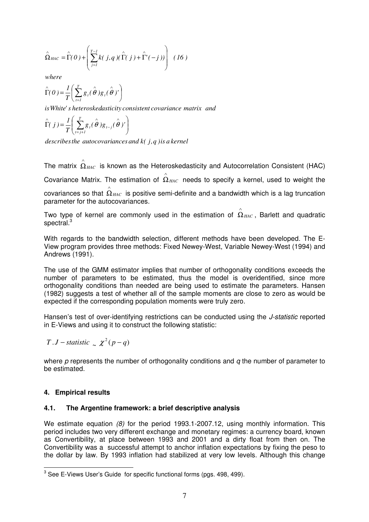$$
\hat{\Omega}_{HAC} = \hat{\Gamma}(0) + \left(\sum_{j=1}^{T-1} k(j,q) (\hat{\Gamma}(j) + \hat{\Gamma}'(-j))\right) (16)
$$

*where*

$$
\hat{\Gamma}(\theta) = \frac{1}{T} \left( \sum_{t=1}^{T} g_t(\hat{\theta}) g_t(\hat{\theta})' \right)
$$

*isWhite s' heteroskedasticity consistent covariance matrix and*

$$
\hat{\Gamma}(j) = \frac{1}{T} \left( \sum_{t=j+1}^{T} g_t(\hat{\theta}) g_{t-j}(\hat{\theta})' \right)
$$

*describes the autocovariances and k( j, q ) is a kernel* 

The matrix  $\hat{\hat{\Omega}}_{HAC}$  is known as the Heteroskedasticity and Autocorrelation Consistent (HAC) Covariance Matrix. The estimation of  $\hat{\Omega}_{HAC}$  needs to specify a kernel, used to weight the

covariances so that  $\Omega_{HAC}$  is positive semi-definite and a bandwidth which is a lag truncation ∧

parameter for the autocovariances.

Two type of kernel are commonly used in the estimation of  $\hat{\Omega}_{HAC}$ , Barlett and quadratic spectral. $^3$ 

With regards to the bandwidth selection, different methods have been developed. The E-View program provides three methods: Fixed Newey-West, Variable Newey-West (1994) and Andrews (1991).

The use of the GMM estimator implies that number of orthogonality conditions exceeds the number of parameters to be estimated, thus the model is overidentified, since more orthogonality conditions than needed are being used to estimate the parameters. Hansen (1982) suggests a test of whether all of the sample moments are close to zero as would be expected if the corresponding population moments were truly zero.

Hansen's test of over-identifying restrictions can be conducted using the *J-statistic* reported in E-Views and using it to construct the following statistic:

$$
T.J-statistic \sim \chi^2(p-q)
$$

where  $p$  represents the number of orthogonality conditions and  $q$  the number of parameter to be estimated.

### **4. Empirical results**

### **4.1. The Argentine framework: a brief descriptive analysis**

We estimate equation (8) for the period 1993.1-2007.12, using monthly information. This period includes two very different exchange and monetary regimes: a currency board, known as Convertibility, at place between 1993 and 2001 and a dirty float from then on. The Convertibility was a successful attempt to anchor inflation expectations by fixing the peso to the dollar by law. By 1993 inflation had stabilized at very low levels. Although this change

 $\overline{a}$  $3$  See E-Views User's Guide for specific functional forms (pgs. 498, 499).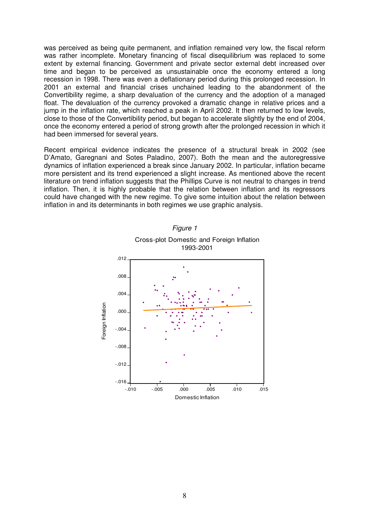was perceived as being quite permanent, and inflation remained very low, the fiscal reform was rather incomplete. Monetary financing of fiscal disequilibrium was replaced to some extent by external financing. Government and private sector external debt increased over time and began to be perceived as unsustainable once the economy entered a long recession in 1998. There was even a deflationary period during this prolonged recession. In 2001 an external and financial crises unchained leading to the abandonment of the Convertibility regime, a sharp devaluation of the currency and the adoption of a managed float. The devaluation of the currency provoked a dramatic change in relative prices and a jump in the inflation rate, which reached a peak in April 2002. It then returned to low levels, close to those of the Convertibility period, but began to accelerate slightly by the end of 2004, once the economy entered a period of strong growth after the prolonged recession in which it had been immersed for several years.

Recent empirical evidence indicates the presence of a structural break in 2002 (see D'Amato, Garegnani and Sotes Paladino, 2007). Both the mean and the autoregressive dynamics of inflation experienced a break since January 2002. In particular, inflation became more persistent and its trend experienced a slight increase. As mentioned above the recent literature on trend inflation suggests that the Phillips Curve is not neutral to changes in trend inflation. Then, it is highly probable that the relation between inflation and its regressors could have changed with the new regime. To give some intuition about the relation between inflation in and its determinants in both regimes we use graphic analysis.

Figure 1



Cross-plot Domestic and Foreign Inflation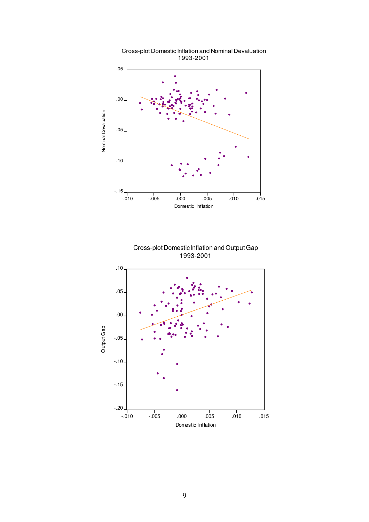

Cross-plot Domestic Inflation and Nominal Devaluation 1993-2001



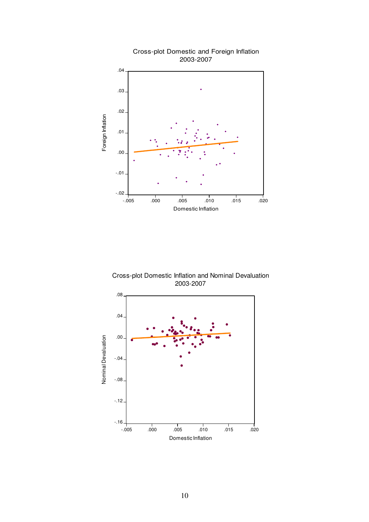

Cross-plot Domestic Inflation and Nominal Devaluation 2003-2007

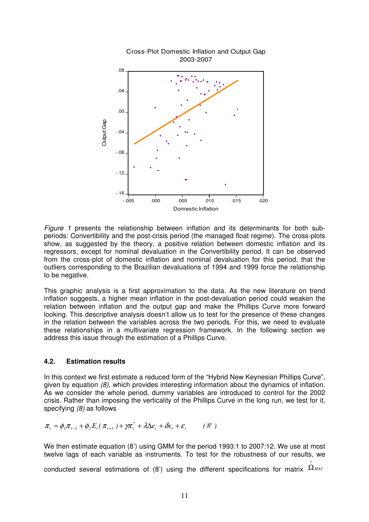

Figure 1 presents the relationship between inflation and its determinants for both subperiods: Convertibility and the post-crisis period (the managed float regime). The cross-plots show, as suggested by the theory, a positive relation between domestic inflation and its regressors, except for nominal devaluation in the Convertibility period. It can be observed from the cross-plot of domestic inflation and nominal devaluation for this period, that the outliers corresponding to the Brazilian devaluations of 1994 and 1999 force the relationship to be negative.

This graphic analysis is a first approximation to the data. As the new literature on trend inflation suggests, a higher mean inflation in the post-devaluation period could weaken the relation between inflation and the output gap and make the Phillips Curve more forward looking. This descriptive analysis doesn't allow us to test for the presence of these changes in the relation between the variables across the two periods. For this, we need to evaluate these relationships in a multivariate regression framework. In the following section we address this issue through the estimation of a Phillips Curve.

#### **4.2. Estimation results**

In this context we first estimate a reduced form of the "Hybrid New Keynesian Phillips Curve", given by equation (8), which provides interesting information about the dynamics of inflation. As we consider the whole period, dummy variables are introduced to control for the 2002 crisis. Rather than imposing the verticality of the Phillips Curve in the long run, we test for it, specifying (8) as follows

$$
\pi_t = \phi_l \pi_{t-l} + \phi_2 E_t(\pi_{t+1}) + \gamma \pi_t^* + \lambda \Delta e_t + \delta x_t + \varepsilon_t \qquad (8')
$$

We then estimate equation (8') using GMM for the period 1993:1 to 2007:12. We use at most twelve lags of each variable as instruments. To test for the robustness of our results, we

conducted several estimations of (8') using the different specifications for matrix  $^{\text{\textbf{Q}}_{HAC}}$ 

∧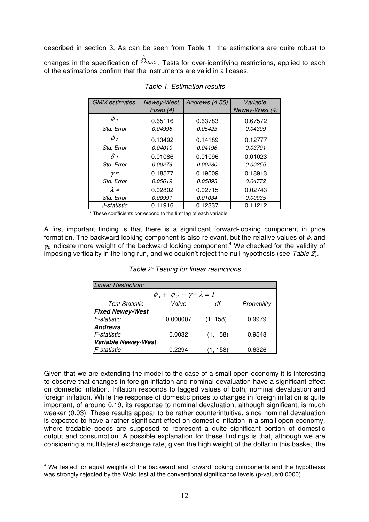described in section 3. As can be seen from Table 1 the estimations are quite robust to changes in the specification of  $\Omega_\text{\tiny{HAC}}$  . Tests for over-identifying restrictions, applied to each ∧ of the estimations confirm that the instruments are valid in all cases.

| <b>GMM</b> estimates | Newey-West | Andrews (4.55) | Variable       |
|----------------------|------------|----------------|----------------|
|                      | Fixed (4)  |                | Newey-West (4) |
| $\phi$ 1             | 0.65116    | 0.63783        | 0.67572        |
| Std. Error           | 0.04998    | 0.05423        | 0.04309        |
| $\phi$ <sub>2</sub>  | 0.13492    | 0.14189        | 0.12777        |
| Std. Error           | 0.04010    | 0.04196        | 0.03701        |
| $\delta$ *           | 0.01086    | 0.01096        | 0.01023        |
| Std. Error           | 0.00279    | 0.00280        | 0.00255        |
| $\gamma *$           | 0.18577    | 0.19009        | 0.18913        |
| Std. Error           | 0.05619    | 0.05893        | 0.04772        |
| $\lambda *$          | 0.02802    | 0.02715        | 0.02743        |
| Std. Error           | 0.00991    | 0.01034        | 0.00935        |
| J-statistic          | 0.11916    | 0.12337        | 0.11212        |

Table 1. Estimation results

\* These coefficients correspond to the first lag of each variable

A first important finding is that there is a significant forward-looking component in price formation. The backward looking component is also relevant, but the relative values of  $\phi_1$  and  $\phi_2$  indicate more weight of the backward looking component.<sup>4</sup> We checked for the validity of imposing verticality in the long run, and we couldn't reject the null hypothesis (see Table 2).

| <b>Linear Restriction:</b>               |          |          |             |  |
|------------------------------------------|----------|----------|-------------|--|
| $\phi_1 + \phi_2 + \gamma + \lambda = 1$ |          |          |             |  |
| <b>Test Statistic</b>                    | Value    | df       | Probability |  |
| <b>Fixed Newey-West</b>                  |          |          |             |  |
| F-statistic                              | 0.000007 | (1, 158) | 0.9979      |  |
| <b>Andrews</b>                           |          |          |             |  |
| F-statistic                              | 0.0032   | (1, 158) | 0.9548      |  |
| <b>Variable Newey-West</b>               |          |          |             |  |
| F-statistic                              | 0.2294   | 1, 158)  | 0.6326      |  |

Table 2: Testing for linear restrictions

Given that we are extending the model to the case of a small open economy it is interesting to observe that changes in foreign inflation and nominal devaluation have a significant effect on domestic inflation. Inflation responds to lagged values of both, nominal devaluation and foreign inflation. While the response of domestic prices to changes in foreign inflation is quite important, of around 0.19, its response to nominal devaluation, although significant, is much weaker (0.03). These results appear to be rather counterintuitive, since nominal devaluation is expected to have a rather significant effect on domestic inflation in a small open economy, where tradable goods are supposed to represent a quite significant portion of domestic output and consumption. A possible explanation for these findings is that, although we are considering a multilateral exchange rate, given the high weight of the dollar in this basket, the

 $\overline{a}$ <sup>4</sup> We tested for equal weights of the backward and forward looking components and the hypothesis was strongly rejected by the Wald test at the conventional significance levels (p-value:0.0000).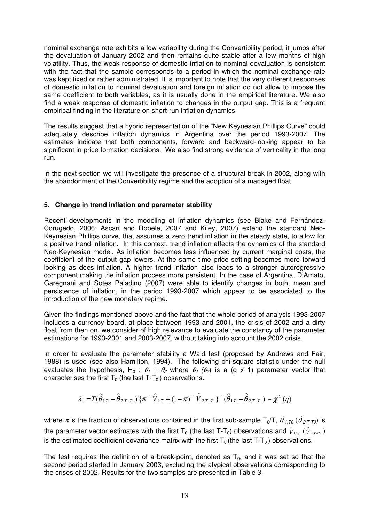nominal exchange rate exhibits a low variability during the Convertibility period, it jumps after the devaluation of January 2002 and then remains quite stable after a few months of high volatility. Thus, the weak response of domestic inflation to nominal devaluation is consistent with the fact that the sample corresponds to a period in which the nominal exchange rate was kept fixed or rather administrated. It is important to note that the very different responses of domestic inflation to nominal devaluation and foreign inflation do not allow to impose the same coefficient to both variables, as it is usually done in the empirical literature. We also find a weak response of domestic inflation to changes in the output gap. This is a frequent empirical finding in the literature on short-run inflation dynamics.

The results suggest that a hybrid representation of the "New Keynesian Phillips Curve" could adequately describe inflation dynamics in Argentina over the period 1993-2007. The estimates indicate that both components, forward and backward-looking appear to be significant in price formation decisions. We also find strong evidence of verticality in the long run.

In the next section we will investigate the presence of a structural break in 2002, along with the abandonment of the Convertibility regime and the adoption of a managed float.

# **5. Change in trend inflation and parameter stability**

Recent developments in the modeling of inflation dynamics (see Blake and Fernández-Corugedo, 2006; Ascari and Ropele, 2007 and Kiley, 2007) extend the standard Neo-Keynesian Phillips curve, that assumes a zero trend inflation in the steady state, to allow for a positive trend inflation. In this context, trend inflation affects the dynamics of the standard Neo-Keynesian model. As inflation becomes less influenced by current marginal costs, the coefficient of the output gap lowers. At the same time price setting becomes more forward looking as does inflation. A higher trend inflation also leads to a stronger autoregressive component making the inflation process more persistent. In the case of Argentina, D'Amato, Garegnani and Sotes Paladino (2007) were able to identify changes in both, mean and persistence of inflation, in the period 1993-2007 which appear to be associated to the introduction of the new monetary regime.

Given the findings mentioned above and the fact that the whole period of analysis 1993-2007 includes a currency board, at place between 1993 and 2001, the crisis of 2002 and a dirty float from then on, we consider of high relevance to evaluate the constancy of the parameter estimations for 1993-2001 and 2003-2007, without taking into account the 2002 crisis.

In order to evaluate the parameter stability a Wald test (proposed by Andrews and Fair, 1988) is used (see also Hamilton, 1994). The following chi-square statistic under the null evaluates the hypothesis, H<sub>0</sub> :  $\theta_1 = \theta_2$  where  $\theta_1$  ( $\theta_2$ ) is a (q x 1) parameter vector that characterises the first  $T_0$  (the last T-T<sub>0</sub>) observations.

$$
\lambda_{T} = T(\hat{\theta}_{1,T_{0}} - \hat{\theta}_{2,T-T_{0}}) \cdot {\pi^{-1} \hat{V}_{1,T_{0}} + (1-\pi)^{-1} \hat{V}_{2,T-T_{0}} }^{-1} \cdot (\hat{\theta}_{1,T_{0}} - \hat{\theta}_{2,T-T_{0}}) \sim \chi^{2}(q)
$$

where  $\pi$  is the fraction of observations contained in the first sub-sample T<sub>0</sub>/T,  $\hat{\theta}$ <sub>1,T0</sub> ( $\hat{\theta}$ <sub>2,T-T0</sub>) is the parameter vector estimates with the first T<sub>0</sub> (the last T-T<sub>0</sub>) observations and  $\hat{V}_{1,T_0}$  ( $\hat{V}_{2,T-T_0}$ ) is the estimated coefficient covariance matrix with the first  $T_0$  (the last T-T<sub>0</sub>) observations.

The test requires the definition of a break-point, denoted as  $T_0$ , and it was set so that the second period started in January 2003, excluding the atypical observations corresponding to the crises of 2002. Results for the two samples are presented in Table 3.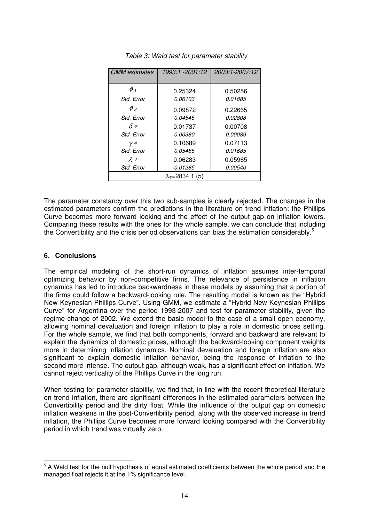| <b>GMM</b> estimates               | 1993:1 -2001:12 | 2003:1-2007:12 |  |  |
|------------------------------------|-----------------|----------------|--|--|
|                                    |                 |                |  |  |
| $\phi$ 1                           | 0.25324         | 0.50256        |  |  |
| Std. Error                         | <i>0.06103</i>  | 0.01885        |  |  |
| $\phi$ <sub>2</sub>                | 0.09872         | 0.22665        |  |  |
| Std. Error                         | 0.04545         | 0.02808        |  |  |
| $\delta *$                         | 0.01737         | 0.00708        |  |  |
| Std. Error                         | <i>0.00380</i>  | <i>0.00089</i> |  |  |
| $\nu\,*$                           | 0.10689         | 0.07113        |  |  |
| Std. Error                         | <i>0.05485</i>  | 0.01685        |  |  |
| $\lambda *$                        | 0.06283         | 0.05965        |  |  |
| Std. Error                         | 0.01285         | <i>0.00540</i> |  |  |
| $\lambda$ <sub>T</sub> =2834.1 (5) |                 |                |  |  |

Table 3: Wald test for parameter stability

The parameter constancy over this two sub-samples is clearly rejected. The changes in the estimated parameters confirm the predictions in the literature on trend inflation: the Phillips Curve becomes more forward looking and the effect of the output gap on inflation lowers. Comparing these results with the ones for the whole sample, we can conclude that including the Convertibility and the crisis period observations can bias the estimation considerably.<sup>5</sup>

# **6. Conclusions**

The empirical modeling of the short-run dynamics of inflation assumes inter-temporal optimizing behavior by non-competitive firms. The relevance of persistence in inflation dynamics has led to introduce backwardness in these models by assuming that a portion of the firms could follow a backward-looking rule. The resulting model is known as the "Hybrid New Keynesian Phillips Curve". Using GMM, we estimate a "Hybrid New Keynesian Phillips Curve" for Argentina over the period 1993-2007 and test for parameter stability, given the regime change of 2002. We extend the basic model to the case of a small open economy, allowing nominal devaluation and foreign inflation to play a role in domestic prices setting. For the whole sample, we find that both components, forward and backward are relevant to explain the dynamics of domestic prices, although the backward-looking component weights more in determining inflation dynamics. Nominal devaluation and foreign inflation are also significant to explain domestic inflation behavior, being the response of inflation to the second more intense. The output gap, although weak, has a significant effect on inflation. We cannot reject verticality of the Phillips Curve in the long run.

When testing for parameter stability, we find that, in line with the recent theoretical literature on trend inflation, there are significant differences in the estimated parameters between the Convertibility period and the dirty float. While the influence of the output gap on domestic inflation weakens in the post-Convertibility period, along with the observed increase in trend inflation, the Phillips Curve becomes more forward looking compared with the Convertibility period in which trend was virtually zero.

 $\overline{a}$  $<sup>5</sup>$  A Wald test for the null hypothesis of equal estimated coefficients between the whole period and the</sup> managed float rejects it at the 1% significance level.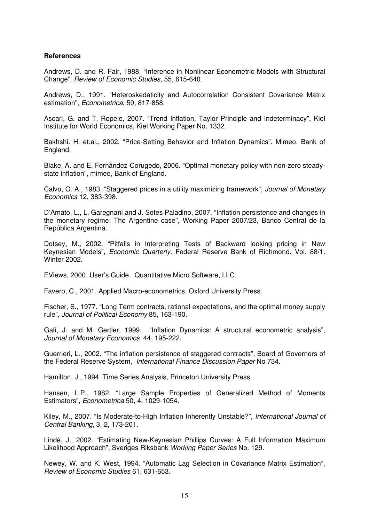#### **References**

Andrews, D. and R. Fair, 1988. "Inference in Nonlinear Econometric Models with Structural Change", Review of Economic Studies, 55, 615-640.

Andrews, D., 1991. "Heteroskedaticity and Autocorrelation Consistent Covariance Matrix estimation", Econometrica, 59, 817-858.

Ascari, G. and T. Ropele, 2007. "Trend Inflation, Taylor Principle and Indeterminacy", Kiel Institute for World Economics, Kiel Working Paper No. 1332.

Bakhshi. H. et.al., 2002. "Price-Setting Behavior and Inflation Dynamics". Mimeo. Bank of England.

Blake, A. and E. Fernández-Corugedo, 2006. "Optimal monetary policy with non-zero steadystate inflation", mimeo, Bank of England.

Calvo, G. A., 1983. "Staggered prices in a utility maximizing framework", Journal of Monetary Economics 12, 383-398.

D'Amato, L., L. Garegnani and J. Sotes Paladino, 2007. "Inflation persistence and changes in the monetary regime: The Argentine case", Working Paper 2007/23, Banco Central de la República Argentina.

Dotsey, M., 2002. "Pitfalls in Interpreting Tests of Backward looking pricing in New Keynesian Models", Economic Quarterly. Federal Reserve Bank of Richmond. Vol. 88/1. Winter 2002.

EViews, 2000. User's Guide, Quantitative Micro Software, LLC.

Favero, C., 2001. Applied Macro-econometrics, Oxford University Press.

Fischer, S., 1977. "Long Term contracts, rational expectations, and the optimal money supply rule", Journal of Political Economy 85, 163-190.

Galí, J. and M. Gertler, 1999. "Inflation Dynamics: A structural econometric analysis", Journal of Monetary Economics 44, 195-222.

Guerrieri, L., 2002. "The inflation persistence of staggered contracts", Board of Governors of the Federal Reserve System, International Finance Discussion Paper No 734.

Hamilton, J., 1994. Time Series Analysis, Princeton University Press.

Hansen, L.P., 1982. "Large Sample Properties of Generalized Method of Moments Estimators", Econometrica 50, 4, 1029-1054.

Kiley, M., 2007. "Is Moderate-to-High Inflation Inherently Unstable?", International Journal of Central Banking, 3, 2, 173-201.

Lindé, J., 2002. "Estimating New-Keynesian Phillips Curves: A Full Information Maximum Likelihood Approach", Sveriges Riksbank Working Paper Series No. 129.

Newey, W. and K. West, 1994. "Automatic Lag Selection in Covariance Matrix Estimation", Review of Economic Studies 61, 631-653.